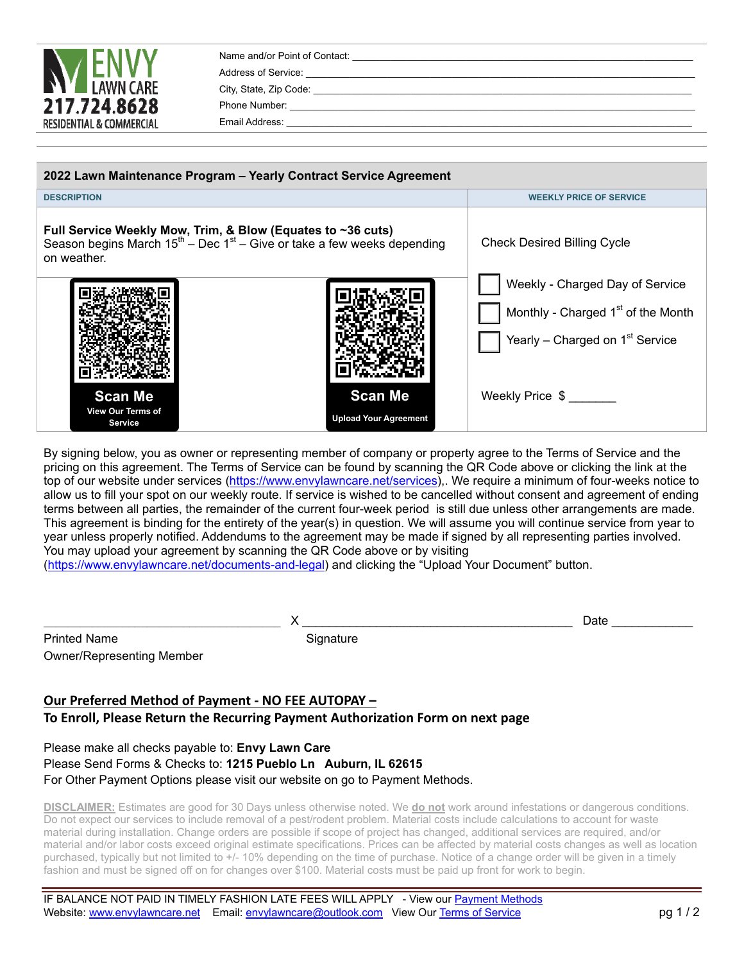| <b>LAWN CARE</b><br>217.724.8628<br><b>RESIDENTIAL &amp; COMMERCIAL</b> | Name and/or Point of Contact:<br>Address of Service:<br>City, State, Zip Code:<br>Phone Number:<br>Email Address: |
|-------------------------------------------------------------------------|-------------------------------------------------------------------------------------------------------------------|
|                                                                         |                                                                                                                   |

| 2022 Lawn Maintenance Program - Yearly Contract Service Agreement                                                                                                 |  |                                                |                                                                                                                                  |
|-------------------------------------------------------------------------------------------------------------------------------------------------------------------|--|------------------------------------------------|----------------------------------------------------------------------------------------------------------------------------------|
| <b>DESCRIPTION</b>                                                                                                                                                |  | <b>WEEKLY PRICE OF SERVICE</b>                 |                                                                                                                                  |
| Full Service Weekly Mow, Trim, & Blow (Equates to ~36 cuts)<br>Season begins March $15^{\text{th}}$ – Dec 1st – Give or take a few weeks depending<br>on weather. |  | <b>Check Desired Billing Cycle</b>             |                                                                                                                                  |
|                                                                                                                                                                   |  |                                                | Weekly - Charged Day of Service<br>Monthly - Charged 1 <sup>st</sup> of the Month<br>Yearly – Charged on 1 <sup>st</sup> Service |
| <b>Scan Me</b><br>View Our Terms of<br><b>Service</b>                                                                                                             |  | <b>Scan Me</b><br><b>Upload Your Agreement</b> | Weekly Price \$                                                                                                                  |

By signing below, you as owner or representing member of company or property agree to the Terms of Service and the pricing on this agreement. The Terms of Service can be found by scanning the QR Code above or clicking the link at the top of our website under services (https://www.envylawncare.net/services),. We require a minimum of four-weeks notice to allow us to fill your spot on our weekly route. If service is wished to be cancelled without consent and agreement of ending terms between all parties, the remainder of the current four-week period is still due unless other arrangements are made. This agreement is binding for the entirety of the year(s) in question. We will assume you will continue service from year to year unless properly notified. Addendums to the agreement may be made if signed by all representing parties involved. You may upload your agreement by scanning the QR Code above or by visiting (https://www.envylawncare.net/documents-and-legal) and clicking the "Upload Your Document" button.

| <b>Printed Name</b>              |
|----------------------------------|
| <b>Owner/Representing Member</b> |

Signature

# **Our Preferred Method of Payment ‐ NO FEE AUTOPAY – To Enroll, Please Return the Recurring Payment Authorization Form on next page**

## Please make all checks payable to: **Envy Lawn Care** Please Send Forms & Checks to: **1215 Pueblo Ln Auburn, IL 62615** For Other Payment Options please visit our website on go to Payment Methods.

**DISCLAIMER:** Estimates are good for 30 Days unless otherwise noted. We **do not** work around infestations or dangerous conditions. Do not expect our services to include removal of a pest/rodent problem. Material costs include calculations to account for waste material during installation. Change orders are possible if scope of project has changed, additional services are required, and/or material and/or labor costs exceed original estimate specifications. Prices can be affected by material costs changes as well as location purchased, typically but not limited to +/- 10% depending on the time of purchase. Notice of a change order will be given in a timely fashion and must be signed off on for changes over \$100. Material costs must be paid up front for work to begin.